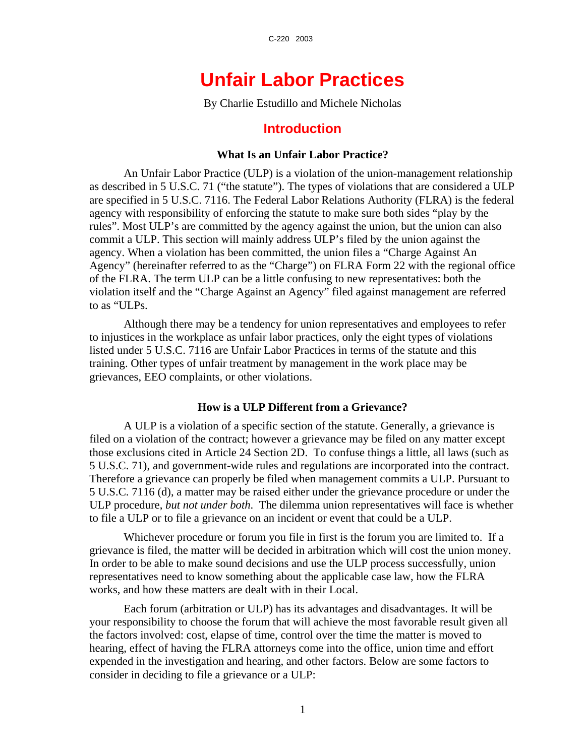# **Unfair Labor Practices**

By Charlie Estudillo and Michele Nicholas

## **Introduction**

## **What Is an Unfair Labor Practice?**

An Unfair Labor Practice (ULP) is a violation of the union-management relationship as described in 5 U.S.C. 71 ("the statute"). The types of violations that are considered a ULP are specified in 5 U.S.C. 7116. The Federal Labor Relations Authority (FLRA) is the federal agency with responsibility of enforcing the statute to make sure both sides "play by the rules". Most ULP's are committed by the agency against the union, but the union can also commit a ULP. This section will mainly address ULP's filed by the union against the agency. When a violation has been committed, the union files a "Charge Against An Agency" (hereinafter referred to as the "Charge") on FLRA Form 22 with the regional office of the FLRA. The term ULP can be a little confusing to new representatives: both the violation itself and the "Charge Against an Agency" filed against management are referred to as "ULPs.

Although there may be a tendency for union representatives and employees to refer to injustices in the workplace as unfair labor practices, only the eight types of violations listed under 5 U.S.C. 7116 are Unfair Labor Practices in terms of the statute and this training. Other types of unfair treatment by management in the work place may be grievances, EEO complaints, or other violations.

## **How is a ULP Different from a Grievance?**

A ULP is a violation of a specific section of the statute. Generally, a grievance is filed on a violation of the contract; however a grievance may be filed on any matter except those exclusions cited in Article 24 Section 2D. To confuse things a little, all laws (such as 5 U.S.C. 71), and government-wide rules and regulations are incorporated into the contract. Therefore a grievance can properly be filed when management commits a ULP. Pursuant to 5 U.S.C. 7116 (d), a matter may be raised either under the grievance procedure or under the ULP procedure, *but not under both*. The dilemma union representatives will face is whether to file a ULP or to file a grievance on an incident or event that could be a ULP.

Whichever procedure or forum you file in first is the forum you are limited to. If a grievance is filed, the matter will be decided in arbitration which will cost the union money. In order to be able to make sound decisions and use the ULP process successfully, union representatives need to know something about the applicable case law, how the FLRA works, and how these matters are dealt with in their Local.

Each forum (arbitration or ULP) has its advantages and disadvantages. It will be your responsibility to choose the forum that will achieve the most favorable result given all the factors involved: cost, elapse of time, control over the time the matter is moved to hearing, effect of having the FLRA attorneys come into the office, union time and effort expended in the investigation and hearing, and other factors. Below are some factors to consider in deciding to file a grievance or a ULP: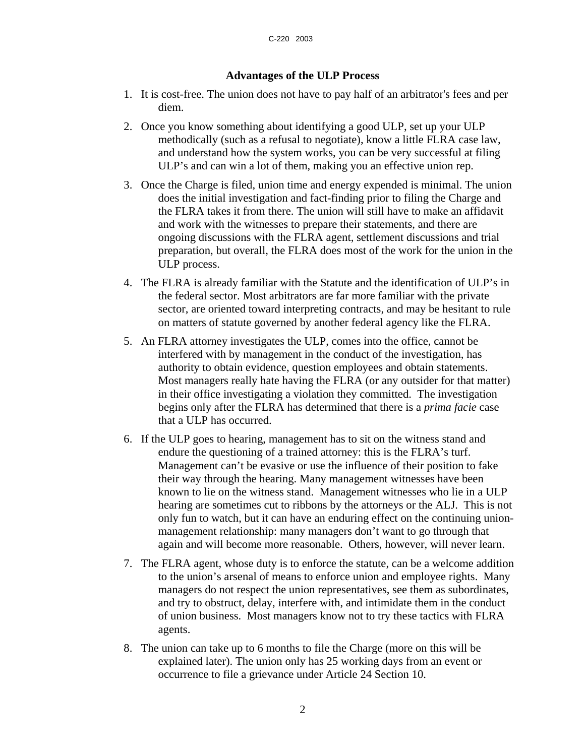## **Advantages of the ULP Process**

- 1. It is cost-free. The union does not have to pay half of an arbitrator's fees and per diem.
- 2. Once you know something about identifying a good ULP, set up your ULP methodically (such as a refusal to negotiate), know a little FLRA case law, and understand how the system works, you can be very successful at filing ULP's and can win a lot of them, making you an effective union rep.
- 3. Once the Charge is filed, union time and energy expended is minimal. The union does the initial investigation and fact-finding prior to filing the Charge and the FLRA takes it from there. The union will still have to make an affidavit and work with the witnesses to prepare their statements, and there are ongoing discussions with the FLRA agent, settlement discussions and trial preparation, but overall, the FLRA does most of the work for the union in the ULP process.
- 4. The FLRA is already familiar with the Statute and the identification of ULP's in the federal sector. Most arbitrators are far more familiar with the private sector, are oriented toward interpreting contracts, and may be hesitant to rule on matters of statute governed by another federal agency like the FLRA.
- 5. An FLRA attorney investigates the ULP, comes into the office, cannot be interfered with by management in the conduct of the investigation, has authority to obtain evidence, question employees and obtain statements. Most managers really hate having the FLRA (or any outsider for that matter) in their office investigating a violation they committed. The investigation begins only after the FLRA has determined that there is a *prima facie* case that a ULP has occurred.
- 6. If the ULP goes to hearing, management has to sit on the witness stand and endure the questioning of a trained attorney: this is the FLRA's turf. Management can't be evasive or use the influence of their position to fake their way through the hearing. Many management witnesses have been known to lie on the witness stand. Management witnesses who lie in a ULP hearing are sometimes cut to ribbons by the attorneys or the ALJ. This is not only fun to watch, but it can have an enduring effect on the continuing unionmanagement relationship: many managers don't want to go through that again and will become more reasonable. Others, however, will never learn.
- 7. The FLRA agent, whose duty is to enforce the statute, can be a welcome addition to the union's arsenal of means to enforce union and employee rights. Many managers do not respect the union representatives, see them as subordinates, and try to obstruct, delay, interfere with, and intimidate them in the conduct of union business. Most managers know not to try these tactics with FLRA agents.
- 8. The union can take up to 6 months to file the Charge (more on this will be explained later). The union only has 25 working days from an event or occurrence to file a grievance under Article 24 Section 10.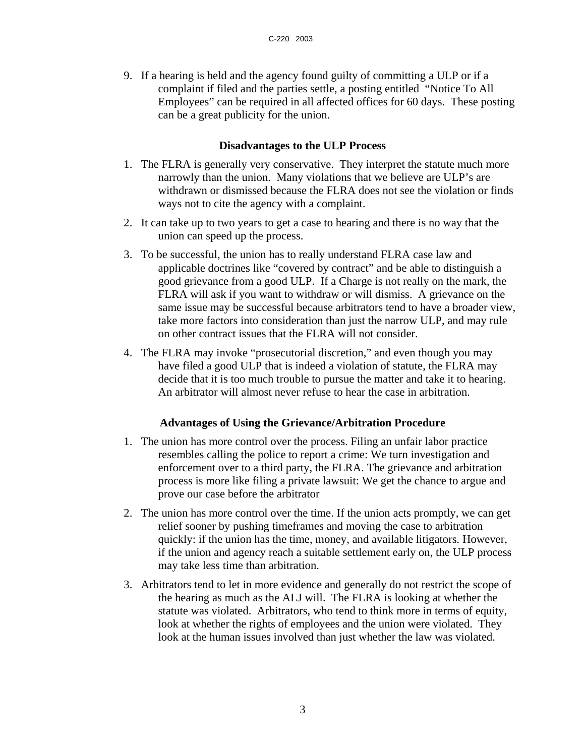9. If a hearing is held and the agency found guilty of committing a ULP or if a complaint if filed and the parties settle, a posting entitled "Notice To All Employees" can be required in all affected offices for 60 days. These posting can be a great publicity for the union.

## **Disadvantages to the ULP Process**

- 1. The FLRA is generally very conservative. They interpret the statute much more narrowly than the union. Many violations that we believe are ULP's are withdrawn or dismissed because the FLRA does not see the violation or finds ways not to cite the agency with a complaint.
- 2. It can take up to two years to get a case to hearing and there is no way that the union can speed up the process.
- 3. To be successful, the union has to really understand FLRA case law and applicable doctrines like "covered by contract" and be able to distinguish a good grievance from a good ULP. If a Charge is not really on the mark, the FLRA will ask if you want to withdraw or will dismiss. A grievance on the same issue may be successful because arbitrators tend to have a broader view, take more factors into consideration than just the narrow ULP, and may rule on other contract issues that the FLRA will not consider.
- 4. The FLRA may invoke "prosecutorial discretion," and even though you may have filed a good ULP that is indeed a violation of statute, the FLRA may decide that it is too much trouble to pursue the matter and take it to hearing. An arbitrator will almost never refuse to hear the case in arbitration.

## **Advantages of Using the Grievance/Arbitration Procedure**

- 1. The union has more control over the process. Filing an unfair labor practice resembles calling the police to report a crime: We turn investigation and enforcement over to a third party, the FLRA. The grievance and arbitration process is more like filing a private lawsuit: We get the chance to argue and prove our case before the arbitrator
- 2. The union has more control over the time. If the union acts promptly, we can get relief sooner by pushing timeframes and moving the case to arbitration quickly: if the union has the time, money, and available litigators. However, if the union and agency reach a suitable settlement early on, the ULP process may take less time than arbitration.
- 3. Arbitrators tend to let in more evidence and generally do not restrict the scope of the hearing as much as the ALJ will. The FLRA is looking at whether the statute was violated. Arbitrators, who tend to think more in terms of equity, look at whether the rights of employees and the union were violated. They look at the human issues involved than just whether the law was violated.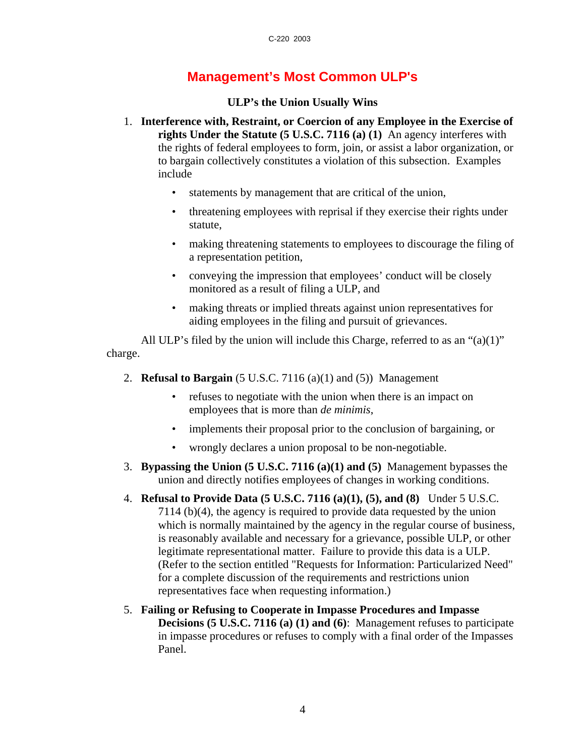## **Management's Most Common ULP's**

## **ULP's the Union Usually Wins**

- 1. **Interference with, Restraint, or Coercion of any Employee in the Exercise of rights Under the Statute (5 U.S.C. 7116 (a) (1)** An agency interferes with the rights of federal employees to form, join, or assist a labor organization, or to bargain collectively constitutes a violation of this subsection. Examples include
	- statements by management that are critical of the union,
	- threatening employees with reprisal if they exercise their rights under statute,
	- making threatening statements to employees to discourage the filing of a representation petition,
	- conveying the impression that employees' conduct will be closely monitored as a result of filing a ULP, and
	- making threats or implied threats against union representatives for aiding employees in the filing and pursuit of grievances.

All ULP's filed by the union will include this Charge, referred to as an " $(a)(1)$ " charge.

- 2. **Refusal to Bargain** (5 U.S.C. 7116 (a)(1) and (5)) Management
	- refuses to negotiate with the union when there is an impact on employees that is more than *de minimis*,
	- implements their proposal prior to the conclusion of bargaining, or
	- wrongly declares a union proposal to be non-negotiable.
- 3. **Bypassing the Union (5 U.S.C. 7116 (a)(1) and (5)** Management bypasses the union and directly notifies employees of changes in working conditions.
- 4. **Refusal to Provide Data (5 U.S.C. 7116 (a)(1), (5), and (8)** Under 5 U.S.C. 7114 (b)(4), the agency is required to provide data requested by the union which is normally maintained by the agency in the regular course of business, is reasonably available and necessary for a grievance, possible ULP, or other legitimate representational matter. Failure to provide this data is a ULP. (Refer to the section entitled "Requests for Information: Particularized Need" for a complete discussion of the requirements and restrictions union representatives face when requesting information.)
- 5. **Failing or Refusing to Cooperate in Impasse Procedures and Impasse Decisions (5 U.S.C. 7116 (a) (1) and (6)**: Management refuses to participate in impasse procedures or refuses to comply with a final order of the Impasses Panel.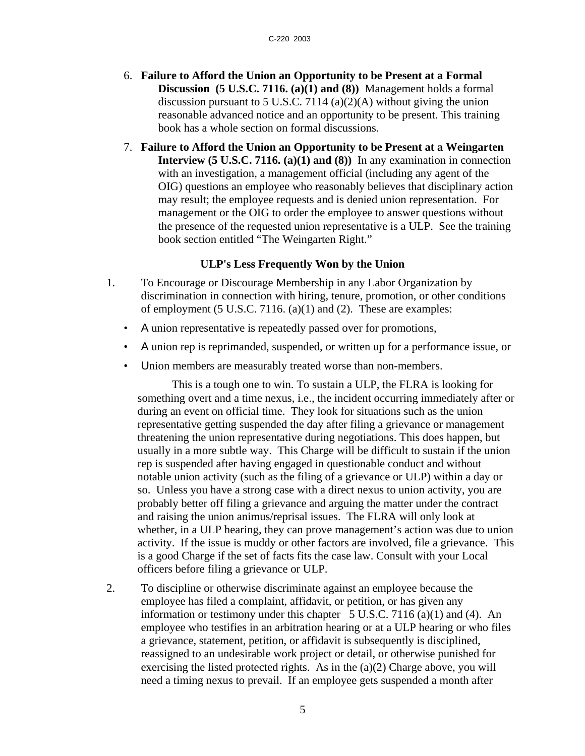- 6. **Failure to Afford the Union an Opportunity to be Present at a Formal Discussion (5 U.S.C. 7116. (a)(1) and (8))** Management holds a formal discussion pursuant to 5 U.S.C. 7114 (a)(2)(A) without giving the union reasonable advanced notice and an opportunity to be present. This training book has a whole section on formal discussions.
- 7. **Failure to Afford the Union an Opportunity to be Present at a Weingarten Interview (5 U.S.C. 7116. (a)(1) and (8))** In any examination in connection with an investigation, a management official (including any agent of the OIG) questions an employee who reasonably believes that disciplinary action may result; the employee requests and is denied union representation. For management or the OIG to order the employee to answer questions without the presence of the requested union representative is a ULP. See the training book section entitled "The Weingarten Right."

## **ULP's Less Frequently Won by the Union**

- 1. To Encourage or Discourage Membership in any Labor Organization by discrimination in connection with hiring, tenure, promotion, or other conditions of employment (5 U.S.C. 7116. (a)(1) and (2). These are examples:
	- A union representative is repeatedly passed over for promotions,
	- A union rep is reprimanded, suspended, or written up for a performance issue, or
	- Union members are measurably treated worse than non-members.

This is a tough one to win. To sustain a ULP, the FLRA is looking for something overt and a time nexus, i.e., the incident occurring immediately after or during an event on official time. They look for situations such as the union representative getting suspended the day after filing a grievance or management threatening the union representative during negotiations. This does happen, but usually in a more subtle way. This Charge will be difficult to sustain if the union rep is suspended after having engaged in questionable conduct and without notable union activity (such as the filing of a grievance or ULP) within a day or so. Unless you have a strong case with a direct nexus to union activity, you are probably better off filing a grievance and arguing the matter under the contract and raising the union animus/reprisal issues. The FLRA will only look at whether, in a ULP hearing, they can prove management's action was due to union activity. If the issue is muddy or other factors are involved, file a grievance. This is a good Charge if the set of facts fits the case law. Consult with your Local officers before filing a grievance or ULP.

2. To discipline or otherwise discriminate against an employee because the employee has filed a complaint, affidavit, or petition, or has given any information or testimony under this chapter  $5 \text{ U.S.C.}$  7116 (a)(1) and (4). An employee who testifies in an arbitration hearing or at a ULP hearing or who files a grievance, statement, petition, or affidavit is subsequently is disciplined, reassigned to an undesirable work project or detail, or otherwise punished for exercising the listed protected rights. As in the  $(a)(2)$  Charge above, you will need a timing nexus to prevail. If an employee gets suspended a month after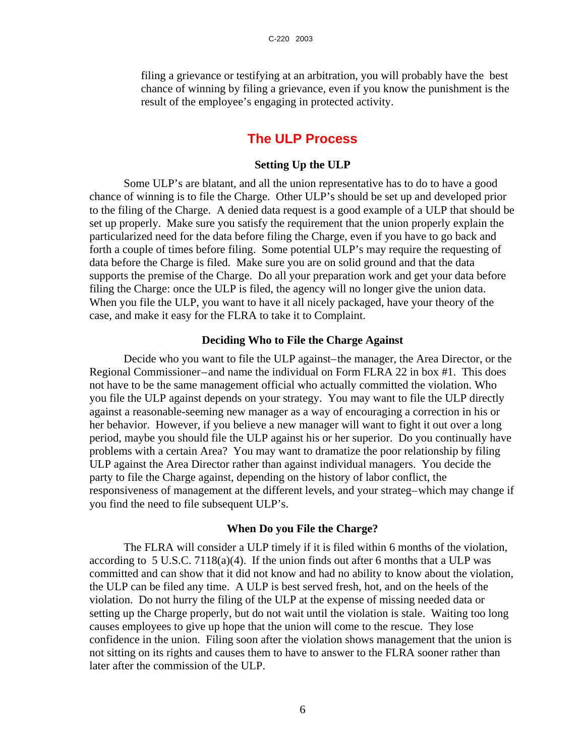filing a grievance or testifying at an arbitration, you will probably have the best chance of winning by filing a grievance, even if you know the punishment is the result of the employee's engaging in protected activity.

## **The ULP Process**

## **Setting Up the ULP**

Some ULP's are blatant, and all the union representative has to do to have a good chance of winning is to file the Charge. Other ULP's should be set up and developed prior to the filing of the Charge. A denied data request is a good example of a ULP that should be set up properly. Make sure you satisfy the requirement that the union properly explain the particularized need for the data before filing the Charge, even if you have to go back and forth a couple of times before filing. Some potential ULP's may require the requesting of data before the Charge is filed. Make sure you are on solid ground and that the data supports the premise of the Charge. Do all your preparation work and get your data before filing the Charge: once the ULP is filed, the agency will no longer give the union data. When you file the ULP, you want to have it all nicely packaged, have your theory of the case, and make it easy for the FLRA to take it to Complaint.

#### **Deciding Who to File the Charge Against**

Decide who you want to file the ULP against–the manager, the Area Director, or the Regional Commissioner–and name the individual on Form FLRA 22 in box #1. This does not have to be the same management official who actually committed the violation. Who you file the ULP against depends on your strategy. You may want to file the ULP directly against a reasonable-seeming new manager as a way of encouraging a correction in his or her behavior. However, if you believe a new manager will want to fight it out over a long period, maybe you should file the ULP against his or her superior. Do you continually have problems with a certain Area? You may want to dramatize the poor relationship by filing ULP against the Area Director rather than against individual managers. You decide the party to file the Charge against, depending on the history of labor conflict, the responsiveness of management at the different levels, and your strateg–which may change if you find the need to file subsequent ULP's.

#### **When Do you File the Charge?**

The FLRA will consider a ULP timely if it is filed within 6 months of the violation, according to 5 U.S.C. 7118(a)(4). If the union finds out after 6 months that a ULP was committed and can show that it did not know and had no ability to know about the violation, the ULP can be filed any time. A ULP is best served fresh, hot, and on the heels of the violation. Do not hurry the filing of the ULP at the expense of missing needed data or setting up the Charge properly, but do not wait until the violation is stale. Waiting too long causes employees to give up hope that the union will come to the rescue. They lose confidence in the union. Filing soon after the violation shows management that the union is not sitting on its rights and causes them to have to answer to the FLRA sooner rather than later after the commission of the ULP.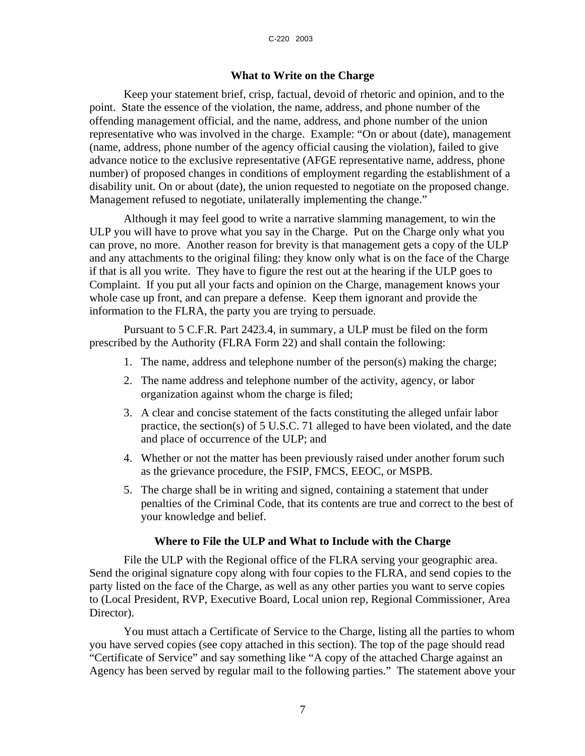## **What to Write on the Charge**

Keep your statement brief, crisp, factual, devoid of rhetoric and opinion, and to the point. State the essence of the violation, the name, address, and phone number of the offending management official, and the name, address, and phone number of the union representative who was involved in the charge. Example: "On or about (date), management (name, address, phone number of the agency official causing the violation), failed to give advance notice to the exclusive representative (AFGE representative name, address, phone number) of proposed changes in conditions of employment regarding the establishment of a disability unit. On or about (date), the union requested to negotiate on the proposed change. Management refused to negotiate, unilaterally implementing the change."

Although it may feel good to write a narrative slamming management, to win the ULP you will have to prove what you say in the Charge. Put on the Charge only what you can prove, no more. Another reason for brevity is that management gets a copy of the ULP and any attachments to the original filing: they know only what is on the face of the Charge if that is all you write. They have to figure the rest out at the hearing if the ULP goes to Complaint. If you put all your facts and opinion on the Charge, management knows your whole case up front, and can prepare a defense. Keep them ignorant and provide the information to the FLRA, the party you are trying to persuade.

Pursuant to 5 C.F.R. Part 2423.4, in summary, a ULP must be filed on the form prescribed by the Authority (FLRA Form 22) and shall contain the following:

- 1. The name, address and telephone number of the person(s) making the charge;
- 2. The name address and telephone number of the activity, agency, or labor organization against whom the charge is filed;
- 3. A clear and concise statement of the facts constituting the alleged unfair labor practice, the section(s) of 5 U.S.C. 71 alleged to have been violated, and the date and place of occurrence of the ULP; and
- 4. Whether or not the matter has been previously raised under another forum such as the grievance procedure, the FSIP, FMCS, EEOC, or MSPB.
- 5. The charge shall be in writing and signed, containing a statement that under penalties of the Criminal Code, that its contents are true and correct to the best of your knowledge and belief.

### **Where to File the ULP and What to Include with the Charge**

File the ULP with the Regional office of the FLRA serving your geographic area. Send the original signature copy along with four copies to the FLRA, and send copies to the party listed on the face of the Charge, as well as any other parties you want to serve copies to (Local President, RVP, Executive Board, Local union rep, Regional Commissioner, Area Director).

You must attach a Certificate of Service to the Charge, listing all the parties to whom you have served copies (see copy attached in this section). The top of the page should read "Certificate of Service" and say something like "A copy of the attached Charge against an Agency has been served by regular mail to the following parties." The statement above your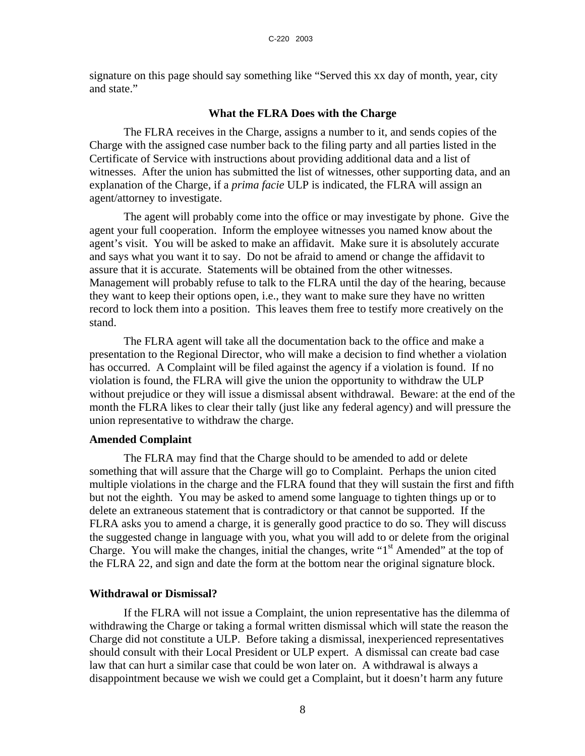signature on this page should say something like "Served this xx day of month, year, city and state."

#### **What the FLRA Does with the Charge**

The FLRA receives in the Charge, assigns a number to it, and sends copies of the Charge with the assigned case number back to the filing party and all parties listed in the Certificate of Service with instructions about providing additional data and a list of witnesses. After the union has submitted the list of witnesses, other supporting data, and an explanation of the Charge, if a *prima facie* ULP is indicated, the FLRA will assign an agent/attorney to investigate.

The agent will probably come into the office or may investigate by phone. Give the agent your full cooperation. Inform the employee witnesses you named know about the agent's visit. You will be asked to make an affidavit. Make sure it is absolutely accurate and says what you want it to say. Do not be afraid to amend or change the affidavit to assure that it is accurate. Statements will be obtained from the other witnesses. Management will probably refuse to talk to the FLRA until the day of the hearing, because they want to keep their options open, i.e., they want to make sure they have no written record to lock them into a position. This leaves them free to testify more creatively on the stand.

The FLRA agent will take all the documentation back to the office and make a presentation to the Regional Director, who will make a decision to find whether a violation has occurred. A Complaint will be filed against the agency if a violation is found. If no violation is found, the FLRA will give the union the opportunity to withdraw the ULP without prejudice or they will issue a dismissal absent withdrawal. Beware: at the end of the month the FLRA likes to clear their tally (just like any federal agency) and will pressure the union representative to withdraw the charge.

## **Amended Complaint**

The FLRA may find that the Charge should to be amended to add or delete something that will assure that the Charge will go to Complaint. Perhaps the union cited multiple violations in the charge and the FLRA found that they will sustain the first and fifth but not the eighth. You may be asked to amend some language to tighten things up or to delete an extraneous statement that is contradictory or that cannot be supported. If the FLRA asks you to amend a charge, it is generally good practice to do so. They will discuss the suggested change in language with you, what you will add to or delete from the original Charge. You will make the changes, initial the changes, write " $1<sup>st</sup>$  Amended" at the top of the FLRA 22, and sign and date the form at the bottom near the original signature block.

#### **Withdrawal or Dismissal?**

If the FLRA will not issue a Complaint, the union representative has the dilemma of withdrawing the Charge or taking a formal written dismissal which will state the reason the Charge did not constitute a ULP. Before taking a dismissal, inexperienced representatives should consult with their Local President or ULP expert. A dismissal can create bad case law that can hurt a similar case that could be won later on. A withdrawal is always a disappointment because we wish we could get a Complaint, but it doesn't harm any future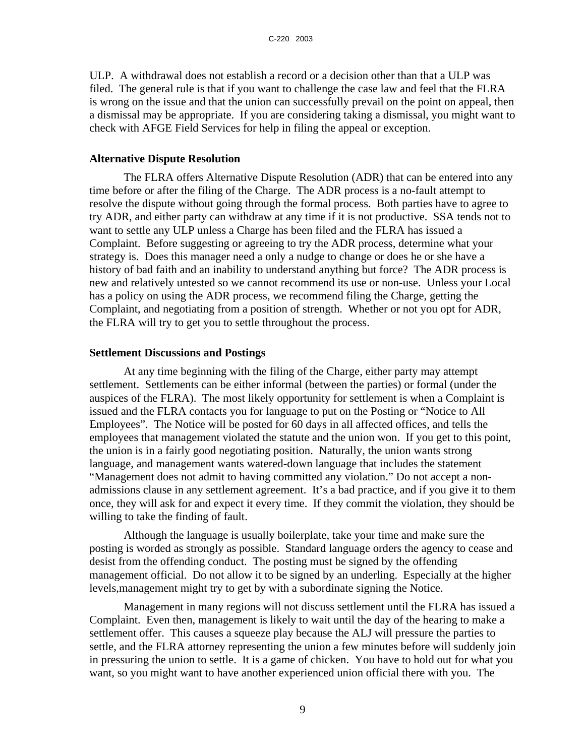ULP. A withdrawal does not establish a record or a decision other than that a ULP was filed. The general rule is that if you want to challenge the case law and feel that the FLRA is wrong on the issue and that the union can successfully prevail on the point on appeal, then a dismissal may be appropriate. If you are considering taking a dismissal, you might want to check with AFGE Field Services for help in filing the appeal or exception.

### **Alternative Dispute Resolution**

The FLRA offers Alternative Dispute Resolution (ADR) that can be entered into any time before or after the filing of the Charge. The ADR process is a no-fault attempt to resolve the dispute without going through the formal process. Both parties have to agree to try ADR, and either party can withdraw at any time if it is not productive. SSA tends not to want to settle any ULP unless a Charge has been filed and the FLRA has issued a Complaint. Before suggesting or agreeing to try the ADR process, determine what your strategy is. Does this manager need a only a nudge to change or does he or she have a history of bad faith and an inability to understand anything but force? The ADR process is new and relatively untested so we cannot recommend its use or non-use. Unless your Local has a policy on using the ADR process, we recommend filing the Charge, getting the Complaint, and negotiating from a position of strength. Whether or not you opt for ADR, the FLRA will try to get you to settle throughout the process.

## **Settlement Discussions and Postings**

At any time beginning with the filing of the Charge, either party may attempt settlement. Settlements can be either informal (between the parties) or formal (under the auspices of the FLRA). The most likely opportunity for settlement is when a Complaint is issued and the FLRA contacts you for language to put on the Posting or "Notice to All Employees". The Notice will be posted for 60 days in all affected offices, and tells the employees that management violated the statute and the union won. If you get to this point, the union is in a fairly good negotiating position. Naturally, the union wants strong language, and management wants watered-down language that includes the statement "Management does not admit to having committed any violation." Do not accept a nonadmissions clause in any settlement agreement. It's a bad practice, and if you give it to them once, they will ask for and expect it every time. If they commit the violation, they should be willing to take the finding of fault.

Although the language is usually boilerplate, take your time and make sure the posting is worded as strongly as possible. Standard language orders the agency to cease and desist from the offending conduct. The posting must be signed by the offending management official. Do not allow it to be signed by an underling. Especially at the higher levels,management might try to get by with a subordinate signing the Notice.

Management in many regions will not discuss settlement until the FLRA has issued a Complaint. Even then, management is likely to wait until the day of the hearing to make a settlement offer. This causes a squeeze play because the ALJ will pressure the parties to settle, and the FLRA attorney representing the union a few minutes before will suddenly join in pressuring the union to settle. It is a game of chicken. You have to hold out for what you want, so you might want to have another experienced union official there with you. The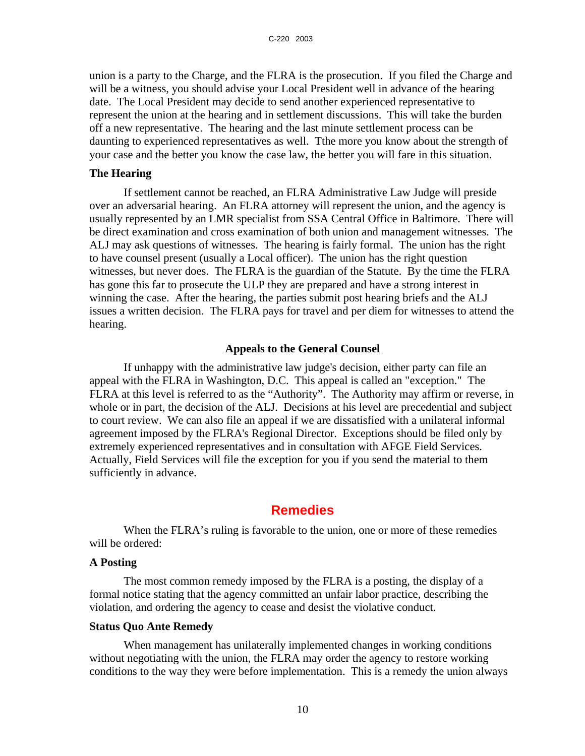union is a party to the Charge, and the FLRA is the prosecution. If you filed the Charge and will be a witness, you should advise your Local President well in advance of the hearing date. The Local President may decide to send another experienced representative to represent the union at the hearing and in settlement discussions. This will take the burden off a new representative. The hearing and the last minute settlement process can be daunting to experienced representatives as well. Tthe more you know about the strength of your case and the better you know the case law, the better you will fare in this situation.

## **The Hearing**

If settlement cannot be reached, an FLRA Administrative Law Judge will preside over an adversarial hearing. An FLRA attorney will represent the union, and the agency is usually represented by an LMR specialist from SSA Central Office in Baltimore. There will be direct examination and cross examination of both union and management witnesses. The ALJ may ask questions of witnesses. The hearing is fairly formal. The union has the right to have counsel present (usually a Local officer). The union has the right question witnesses, but never does. The FLRA is the guardian of the Statute. By the time the FLRA has gone this far to prosecute the ULP they are prepared and have a strong interest in winning the case. After the hearing, the parties submit post hearing briefs and the ALJ issues a written decision. The FLRA pays for travel and per diem for witnesses to attend the hearing.

### **Appeals to the General Counsel**

If unhappy with the administrative law judge's decision, either party can file an appeal with the FLRA in Washington, D.C. This appeal is called an "exception." The FLRA at this level is referred to as the "Authority". The Authority may affirm or reverse, in whole or in part, the decision of the ALJ. Decisions at his level are precedential and subject to court review. We can also file an appeal if we are dissatisfied with a unilateral informal agreement imposed by the FLRA's Regional Director. Exceptions should be filed only by extremely experienced representatives and in consultation with AFGE Field Services. Actually, Field Services will file the exception for you if you send the material to them sufficiently in advance.

## **Remedies**

When the FLRA's ruling is favorable to the union, one or more of these remedies will be ordered:

## **A Posting**

The most common remedy imposed by the FLRA is a posting, the display of a formal notice stating that the agency committed an unfair labor practice, describing the violation, and ordering the agency to cease and desist the violative conduct.

#### **Status Quo Ante Remedy**

When management has unilaterally implemented changes in working conditions without negotiating with the union, the FLRA may order the agency to restore working conditions to the way they were before implementation. This is a remedy the union always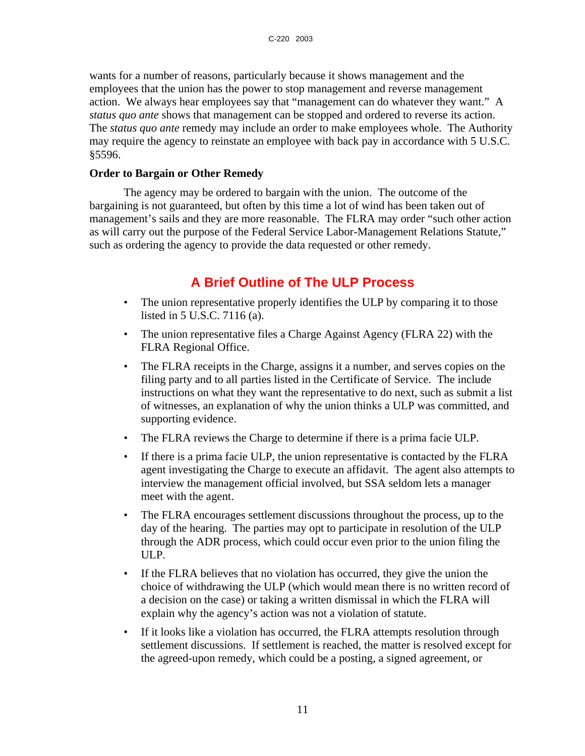wants for a number of reasons, particularly because it shows management and the employees that the union has the power to stop management and reverse management action. We always hear employees say that "management can do whatever they want." A *status quo ante* shows that management can be stopped and ordered to reverse its action. The *status quo ante* remedy may include an order to make employees whole. The Authority may require the agency to reinstate an employee with back pay in accordance with 5 U.S.C. §5596.

## **Order to Bargain or Other Remedy**

The agency may be ordered to bargain with the union. The outcome of the bargaining is not guaranteed, but often by this time a lot of wind has been taken out of management's sails and they are more reasonable. The FLRA may order "such other action as will carry out the purpose of the Federal Service Labor-Management Relations Statute," such as ordering the agency to provide the data requested or other remedy.

## **A Brief Outline of The ULP Process**

- The union representative properly identifies the ULP by comparing it to those listed in 5 U.S.C. 7116 (a).
- The union representative files a Charge Against Agency (FLRA 22) with the FLRA Regional Office.
- The FLRA receipts in the Charge, assigns it a number, and serves copies on the filing party and to all parties listed in the Certificate of Service. The include instructions on what they want the representative to do next, such as submit a list of witnesses, an explanation of why the union thinks a ULP was committed, and supporting evidence.
- The FLRA reviews the Charge to determine if there is a prima facie ULP.
- If there is a prima facie ULP, the union representative is contacted by the FLRA agent investigating the Charge to execute an affidavit. The agent also attempts to interview the management official involved, but SSA seldom lets a manager meet with the agent.
- The FLRA encourages settlement discussions throughout the process, up to the day of the hearing. The parties may opt to participate in resolution of the ULP through the ADR process, which could occur even prior to the union filing the ULP.
- If the FLRA believes that no violation has occurred, they give the union the choice of withdrawing the ULP (which would mean there is no written record of a decision on the case) or taking a written dismissal in which the FLRA will explain why the agency's action was not a violation of statute.
- If it looks like a violation has occurred, the FLRA attempts resolution through settlement discussions. If settlement is reached, the matter is resolved except for the agreed-upon remedy, which could be a posting, a signed agreement, or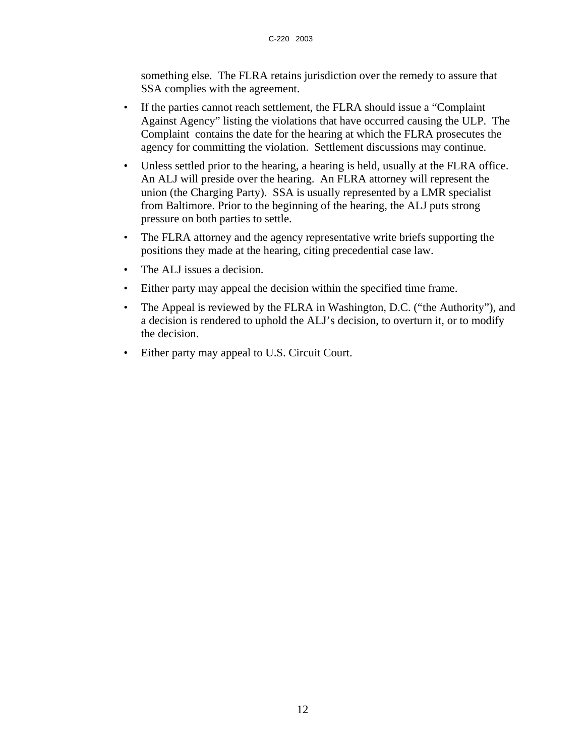something else. The FLRA retains jurisdiction over the remedy to assure that SSA complies with the agreement.

- If the parties cannot reach settlement, the FLRA should issue a "Complaint Against Agency" listing the violations that have occurred causing the ULP. The Complaint contains the date for the hearing at which the FLRA prosecutes the agency for committing the violation. Settlement discussions may continue.
- Unless settled prior to the hearing, a hearing is held, usually at the FLRA office. An ALJ will preside over the hearing. An FLRA attorney will represent the union (the Charging Party). SSA is usually represented by a LMR specialist from Baltimore. Prior to the beginning of the hearing, the ALJ puts strong pressure on both parties to settle.
- The FLRA attorney and the agency representative write briefs supporting the positions they made at the hearing, citing precedential case law.
- The ALJ issues a decision.
- Either party may appeal the decision within the specified time frame.
- The Appeal is reviewed by the FLRA in Washington, D.C. ("the Authority"), and a decision is rendered to uphold the ALJ's decision, to overturn it, or to modify the decision.
- Either party may appeal to U.S. Circuit Court.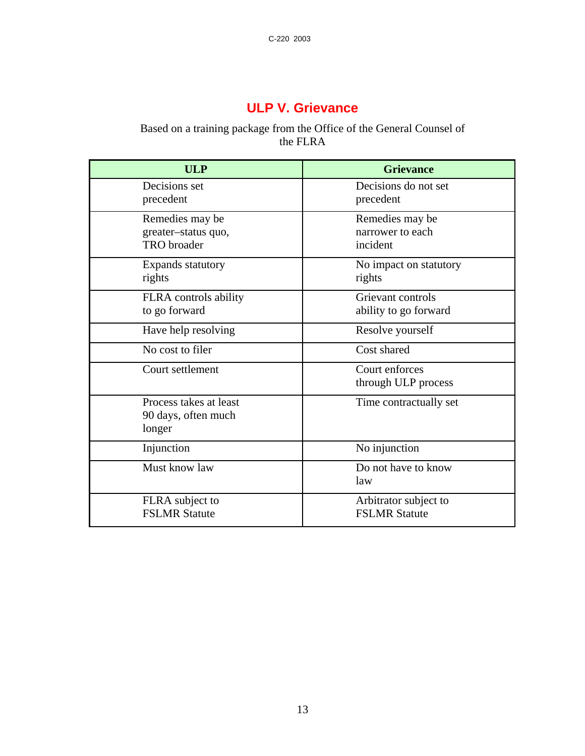## **ULP V. Grievance**

## Based on a training package from the Office of the General Counsel of the FLRA

| <b>ULP</b>                                                   | <b>Grievance</b>                                |
|--------------------------------------------------------------|-------------------------------------------------|
| Decisions set<br>precedent                                   | Decisions do not set<br>precedent               |
| Remedies may be<br>greater-status quo,<br><b>TRO</b> broader | Remedies may be<br>narrower to each<br>incident |
| Expands statutory<br>rights                                  | No impact on statutory<br>rights                |
| FLRA controls ability<br>to go forward                       | Grievant controls<br>ability to go forward      |
| Have help resolving                                          | Resolve yourself                                |
| No cost to filer                                             | Cost shared                                     |
| Court settlement                                             | Court enforces<br>through ULP process           |
| Process takes at least<br>90 days, often much<br>longer      | Time contractually set                          |
| Injunction                                                   | No injunction                                   |
| Must know law                                                | Do not have to know<br>law                      |
| FLRA subject to<br><b>FSLMR Statute</b>                      | Arbitrator subject to<br><b>FSLMR Statute</b>   |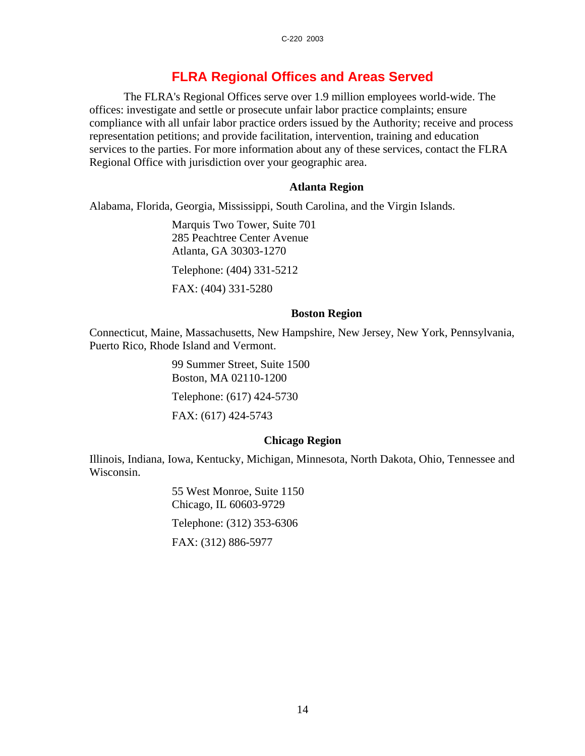## **FLRA Regional Offices and Areas Served**

The FLRA's Regional Offices serve over 1.9 million employees world-wide. The offices: investigate and settle or prosecute unfair labor practice complaints; ensure compliance with all unfair labor practice orders issued by the Authority; receive and process representation petitions; and provide facilitation, intervention, training and education services to the parties. For more information about any of these services, contact the FLRA Regional Office with jurisdiction over your geographic area.

## **Atlanta Region**

Alabama, Florida, Georgia, Mississippi, South Carolina, and the Virgin Islands.

Marquis Two Tower, Suite 701 285 Peachtree Center Avenue Atlanta, GA 30303-1270

Telephone: (404) 331-5212

FAX: (404) 331-5280

## **Boston Region**

Connecticut, Maine, Massachusetts, New Hampshire, New Jersey, New York, Pennsylvania, Puerto Rico, Rhode Island and Vermont.

> 99 Summer Street, Suite 1500 Boston, MA 02110-1200 Telephone: (617) 424-5730 FAX: (617) 424-5743

## **Chicago Region**

Illinois, Indiana, Iowa, Kentucky, Michigan, Minnesota, North Dakota, Ohio, Tennessee and Wisconsin.

> 55 West Monroe, Suite 1150 Chicago, IL 60603-9729 Telephone: (312) 353-6306 FAX: (312) 886-5977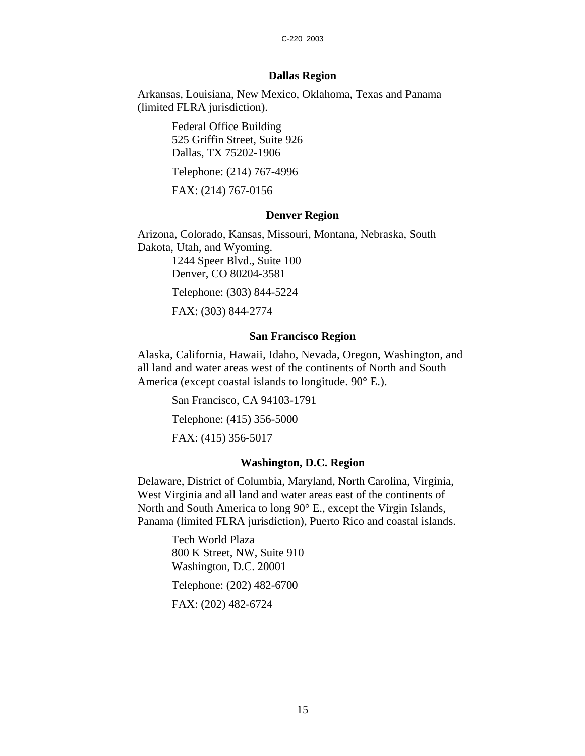#### C-220 2003

## **Dallas Region**

Arkansas, Louisiana, New Mexico, Oklahoma, Texas and Panama (limited FLRA jurisdiction).

> Federal Office Building 525 Griffin Street, Suite 926 Dallas, TX 75202-1906

Telephone: (214) 767-4996

FAX: (214) 767-0156

## **Denver Region**

Arizona, Colorado, Kansas, Missouri, Montana, Nebraska, South Dakota, Utah, and Wyoming. 1244 Speer Blvd., Suite 100 Denver, CO 80204-3581 Telephone: (303) 844-5224 FAX: (303) 844-2774

## **San Francisco Region**

Alaska, California, Hawaii, Idaho, Nevada, Oregon, Washington, and all land and water areas west of the continents of North and South America (except coastal islands to longitude. 90° E.).

San Francisco, CA 94103-1791

Telephone: (415) 356-5000

FAX: (415) 356-5017

## **Washington, D.C. Region**

Delaware, District of Columbia, Maryland, North Carolina, Virginia, West Virginia and all land and water areas east of the continents of North and South America to long 90° E., except the Virgin Islands, Panama (limited FLRA jurisdiction), Puerto Rico and coastal islands.

> Tech World Plaza 800 K Street, NW, Suite 910 Washington, D.C. 20001 Telephone: (202) 482-6700

FAX: (202) 482-6724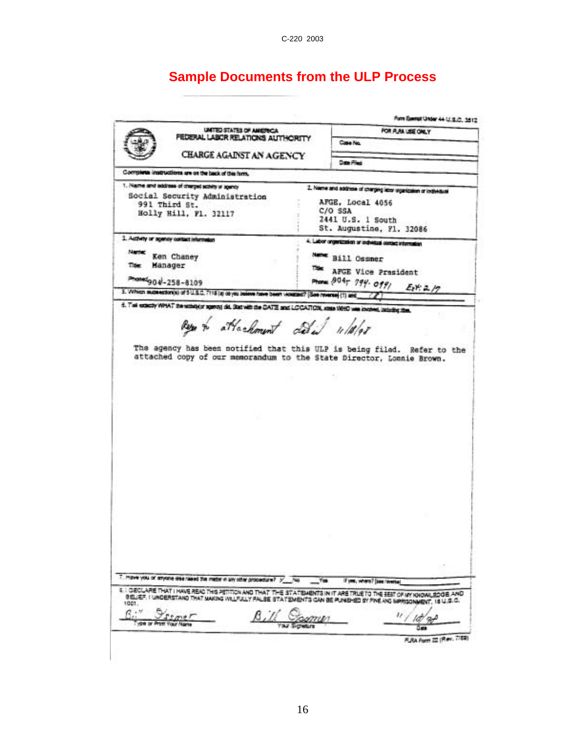C-220 2003

## **Sample Documents from the ULP Process**

Form Exempt Under 44 U.S.C. 3512 UNITED STATES OF AMERICA FOR FLAX USE ONLY FEDERAL LABOR RELATIONS AUTHORITY Case No. CHARGE AGAINST AN AGENCY **Cate Pied** Complete instructions are on the back of this form. 1. Name and address of charged activity or apency 2. Name and address of charging istor organization or individual Social Security Administration AFGE. Local 4056 991 Third St. C/O SSA Holly Hill, F1. 32117 2441 U.S. 1 South St. Augustine, Fl. 32086 3. Activity or agency contact information 4. Labor organization or individual contact information Name: Ken Chaney Name Bill Ossmer Manager Titler This AFGE Vice President Phone: 8047 794- 0991 Phonetgo 4-258-8109  $E_1Y:2.19$ 5. Which subsection(s) of 5 U.S.C. 7115 (s) or you believe have been visuated? [See reverse] (1) and 5. This extectly WPAT the receiptor agency did, Statistic die CATE and LCCATION, some WPAD was in-Literature mas attachment dela 11/10/08 The agency has been notified that this ULP is being filed. Refer to the attached copy of our memorandum to the State Director, Lonnie Brown. 7. Move you of anyone dearnaed the material any other procedure?  $\frac{1}{2}$  /  $\frac{1}{2}$  /  $\frac{1}{2}$  /  $\frac{1}{2}$ If you, where? [see: wwese] 4 : DECLARE THAT I HAVE READ THIS PETITION AND THAT THE STATEMENTS IN IT ARE TRUE TO THE SEST OF AN KNOWLEDGE AND<br>8 GLIEF, I UNDERSTAND THAT MAKING WILFULLY FALSE STATEMENTS CAN BE PUNISHED BY FINE AND MPRISONMENT, 18 U.S.  $\underbrace{e_{\cdots}}_{\dagger}$ <u>restaura</u>  $1/d/9$ Л π. FLRA Form 22 (Rev. 7/89)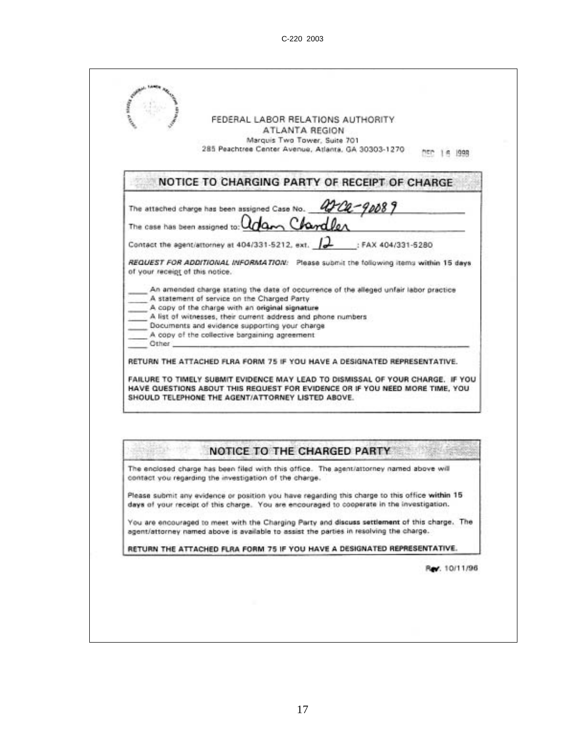|                                          | ATLANTA REGION<br>Marquis Two Tower, Suite 701<br>285 Peachtree Center Avenue, Atlanta, GA 30303-1270                                                                                                                                                                                                                                                                                                                                                                                                                                                                                                                                                                                                                                                 |
|------------------------------------------|-------------------------------------------------------------------------------------------------------------------------------------------------------------------------------------------------------------------------------------------------------------------------------------------------------------------------------------------------------------------------------------------------------------------------------------------------------------------------------------------------------------------------------------------------------------------------------------------------------------------------------------------------------------------------------------------------------------------------------------------------------|
|                                          | NOTICE TO CHARGING PARTY OF RECEIPT OF CHARGE.                                                                                                                                                                                                                                                                                                                                                                                                                                                                                                                                                                                                                                                                                                        |
|                                          | The attached charge has been assigned Case No. 42-02-90089                                                                                                                                                                                                                                                                                                                                                                                                                                                                                                                                                                                                                                                                                            |
| The case has been assigned to:           | an Chardler                                                                                                                                                                                                                                                                                                                                                                                                                                                                                                                                                                                                                                                                                                                                           |
|                                          | Contact the agent/attorney at 404/331-5212, ext. 2<br>: FAX 404/331-5280                                                                                                                                                                                                                                                                                                                                                                                                                                                                                                                                                                                                                                                                              |
| of your receipt of this notice.<br>Other | REQUEST FOR ADDITIONAL INFORMATION: Please submit the following items within 15 days<br>An amended charge stating the date of occurrence of the alleged unfair labor practice<br>A statement of service on the Charged Party<br>A copy of the charge with an original signature<br>A list of witnesses, their current address and phone numbers<br>Documents and evidence supporting your charge<br>A copy of the collective bargaining agreement<br>RETURN THE ATTACHED FLRA FORM 75 IF YOU HAVE A DESIGNATED REPRESENTATIVE.<br>FAILURE TO TIMELY SUBMIT EVIDENCE MAY LEAD TO DISMISSAL OF YOUR CHARGE. IF YOU<br>HAVE QUESTIONS ABOUT THIS REQUEST FOR EVIDENCE OR IF YOU NEED MORE TIME, YOU<br>SHOULD TELEPHONE THE AGENT/ATTORNEY LISTED ABOVE. |
|                                          | NOTICE TO THE CHARGED PARTY<br>The enclosed charge has been filed with this office. The agent/attorney named above will                                                                                                                                                                                                                                                                                                                                                                                                                                                                                                                                                                                                                               |
|                                          | contact you regarding the investigation of the charge.                                                                                                                                                                                                                                                                                                                                                                                                                                                                                                                                                                                                                                                                                                |
|                                          | Please submit any evidence or position you have regarding this charge to this office within 15<br>days of your receipt of this charge. You are encouraged to cooperate in the investigation.                                                                                                                                                                                                                                                                                                                                                                                                                                                                                                                                                          |
|                                          | You are encouraged to meet with the Charging Party and discuss settlement of this charge. The<br>agent/attorney named above is available to assist the parties in resolving the charge.                                                                                                                                                                                                                                                                                                                                                                                                                                                                                                                                                               |
|                                          | RETURN THE ATTACHED FLRA FORM 75 IF YOU HAVE A DESIGNATED REPRESENTATIVE.                                                                                                                                                                                                                                                                                                                                                                                                                                                                                                                                                                                                                                                                             |
|                                          |                                                                                                                                                                                                                                                                                                                                                                                                                                                                                                                                                                                                                                                                                                                                                       |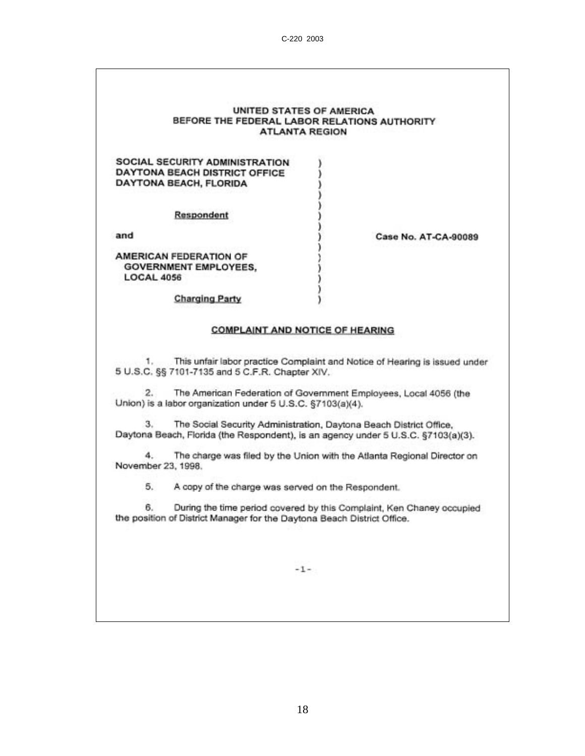#### **UNITED STATES OF AMERICA** BEFORE THE FEDERAL LABOR RELATIONS AUTHORITY **ATLANTA REGION**

### SOCIAL SECURITY ADMINISTRATION DAYTONA BEACH DISTRICT OFFICE **DAYTONA BEACH, FLORIDA**

Respondent

and

AMERICAN FEDERATION OF **GOVERNMENT EMPLOYEES, LOCAL 4056** 

**Case No. AT-CA-90089** 

**Charging Party** 

#### **COMPLAINT AND NOTICE OF HEARING**

1. This unfair labor practice Complaint and Notice of Hearing is issued under 5 U.S.C. §§ 7101-7135 and 5 C.F.R. Chapter XIV.

 $2.$ The American Federation of Government Employees, Local 4056 (the Union) is a labor organization under 5 U.S.C. §7103(a)(4).

3. The Social Security Administration, Daytona Beach District Office, Daytona Beach, Florida (the Respondent), is an agency under 5 U.S.C. §7103(a)(3).

The charge was filed by the Union with the Atlanta Regional Director on  $4.$ November 23, 1998.

5. A copy of the charge was served on the Respondent.

During the time period covered by this Complaint, Ken Chaney occupied 6. the position of District Manager for the Daytona Beach District Office.

 $-1-$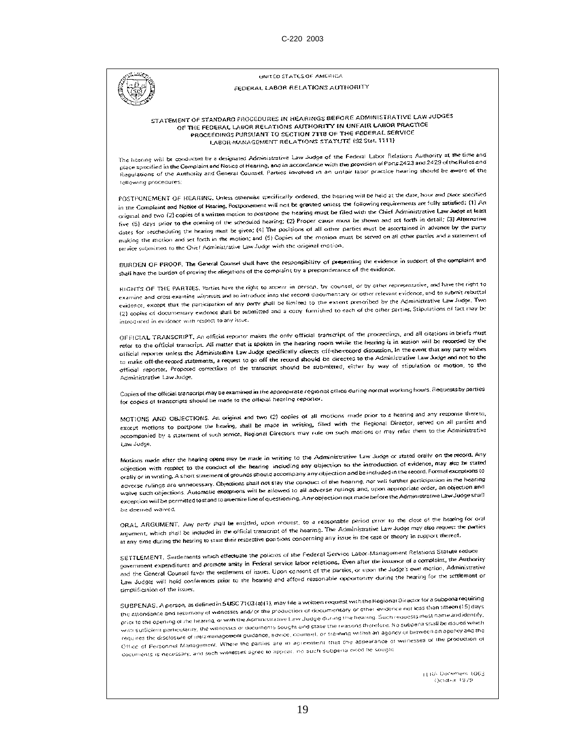UNITED STATES OF AMERICA

#### FEDERAL LABOR RELATIONS AUTHORITY

STATEMENT OF STANDARD PROCEDURES IN HEARINGS BEFORE ADMINISTRATIVE LAW JUDGES OF THE FEDERAL LABOR RELATIONS AUTHORITY IN UNFAIR LABOR PRACTICE PROCEEDINGS PURSUANT TO SECTION 7118 OF THE FEDERAL SERVICE LABOR MANAGEMENT RELATIONS STATUTE (92 Stat. 1111)

The heating will be conducted by a designated Administrative Law Judge of the Federal Labor Relations Authority at the time and The hearing will be conducted by a designated Administrative. Law Judge of the Federal Look Research 2022 and 2423 of the Rules and<br>place specified in the Complaint and Notice of Hearing, and in accordance with the provisi place specified in the Complaint and Houte of Heating, and in accordance there is a precise hearing should be aware of the following procedures:

POSTPONEMENT OF HEARING. Unless otherwise specifically ordered, the hearing will be held at the date, hour and place specified FOSTFONEMENT OF HEARING. Oness difference specifically observed, we number of contents are fully satisfied: (1) An in the Complaint and Notice of Healthy, componential third of the stress-times the Chief Administrative Law Judge at least original and two (2) copies of a written motion to positione the relating must be find that the biner and set forth in detail; (3) Alternative<br>five (5) days prior to the opening of the scheduled hearing; (2) Proper cause m dive (5) days prior to the opening of the scheduled realing. (2) colori diagrams to choose the secretained in advance by the party<br>dates for rescheduling the hearing must be given; (4) The positions of all other parties mu cates for rescried this nearing man be given, or the partners of the motion must be served on all other parties and a statement of service submitted to the Chief Administrative Law Judge with the original motion.

BURDEN OF PROOF. The General Counsel shall have the responsibility of presenting the evidence in support of the complaint and stall have the burden of proving the allegations of the complaint by a preponderance of the evidence.

RIGHTS OF THE PARTIES. Parties have the right to appear in person, by counsel, or by other representative, and have the right to examine and cross-examine witnesses and to introduce into the record documentary or other relevant evidence, and to submit rebuttal examine and cross-examine witnesses and to introduce this tile record deductionary of prescribed by the Administrative Law Judge. Two evidence, except that the participation of any party year be intriced to the extent predictors. The conditions of fact may be (2) copies of documentary evidence shall be submitted and a copy furnished to each of the other introduced in evidence with respect to any issue.

OFFICIAL TRANSCRIPT, An official reporter makes the only official transcript of the proceedings, and all citations in briefs must of HOTAL TRANSCRIPT, an official reporter makes the carry officer commercial research is in session will be recorded by the reter to the official transcript. An inader that is spoken in the nearing room, which are corrected in the event that any party wishes official reporter unless the Administrative Law Judge specifically directs off-the-reco official reporter unless the Agministrative Law adogs specifically divided on the court of the Administrative Law Judge and not to the<br>to make off-the-record statements, a request to go off the record should be directed to to make ott-the-record statements, a request to go on the reaster means to three to make of stipulation or motion, to the Administrative Law Judge.

Copies of the official transcript may be examined in the appropmate regional office during normal working hours. Requests by parties for copies of transcripts should be made to the official hearing reporter.

MOTIONS AND OBJECTIONS. An original and two (2) copies of all motions made prior to a hearing and any response thereto, MOTIONS AND OBJECTIONS. An original and two (2) copies of an include with the Regional Director, served on all parties and<br>except motions to postpone the hearing, shall be made in writing, filed with the Regional Director, except motions to postpone the hearing, shall be made in writing, their with the hegional bindical, which on an example accompanied by a statement of such service. Regional Directors may rule on such motions or may refer t Law Judge.

Motions made after the hearing opens may be made in writing to the Administrative Law Judge or stated orally on the record. Any Motions made after the hearing opens may be made in writing to the examination of the introduction of evidence, may also be stated<br>objection with respect to the conduct of the hearing including any objection to the introdu objection with respect to the conduct of the nearing including any objection to one incredict in the record. Formal exceptions to the nearing and being to be included in the record. Formal exceptions to orally or in writing. A short statement of grounds sending occurrically the boaring, nor will further participation in the hearing<br>adverse rulings are unnecessary. Objections shall not stay the conduct of the hearing, nor stretse rulings are unnecessary. Objections shall not stay the conduct of the nearing, not will drive the margin and<br>waive such objections. Automatic exceptions will be allowed to all adverse rulings and, upon appropriate waive such objections. Automatic exceptions will be allowed to all adverse. Turnige and epithere. The Administrative Law Judge shaft be deemed waived.

ORAL ARGUMENT. Any party shall be entitled, upon request, to a reasonable period prior to the close of the hearing for oral ORAL ARGUMENT. Any party stull be entitled, upon request, to a reasonable period prior to the clock of the result of the parties<br>argument, which shall be included in the official transcript of the hearing. The Administrati argument, which shall be included in the official transcript of the nearing. The reannmodation can see any fine<br>at any time during the hearing to state their respective positions concerning any issue in the case or theory

SETTLEMENT. Settlements which effectuate the policies of the Federal Service Labor-Management Relations Statute reduce SETTLEMENT. Settlements which effectuate the policies of the Federal Service Capacity instruments of a complaint, the Authority<br>government expenditures and promote amity in Federal service labor relations. Even after the i government expenditures and promote amily in rederal service ration relations. Creatively through the Judge's own motion, Administrative<br>and the General Counsel favor the settlement of issues. Upon consent of the parties, and the General Counsel favor the settlement of issues. Upon consent of the parties, or upon the sudge I one house. I<br>Law Judges will hold conferences prior to the hearing and afford reasonable opportunity during the heari simplification of the issues.

SUBPENAS. A person, as defined in \$USC 7103(a)(1), may file a written request with the Regional Director for a subpenairequiring SUBPENAS. A person, as defined in 5USC 7103 (a) (1), may file a written request with the review on less than titren (15) days<br>the attendance and testimony of witnesses and/or the production of documentary or other evidence the attendance and restimony of wanesses and/or the production of documentary or other evidence had sessional testing.<br>prior to the opening of the hearing, or with the Administrative Law Judge during the hearing, Such requ prior to the opening of the hearing, or with the Administrative Law Judge during the Healthy. Such equipments that be assed which<br>With sufficient particularity, the witnesses or documents sought and state the reasons there with sufficient particularity, the witnesses or documents sought and state the reasonal influence work.<br>The magnetic product of inframenagement guidance, advice, counsel, or training within an agency or between an agency a requires the disclosure of intramanagement guidance, advice, counsel, or training vinition system of with summary capacity of the production of<br>Office of Personnel Management, Where the parties are to approxy on such sight Office of Hersonner management structures agree to appear, no such subpenal need be sought

> LLBA Docement 1063 Остобы 1979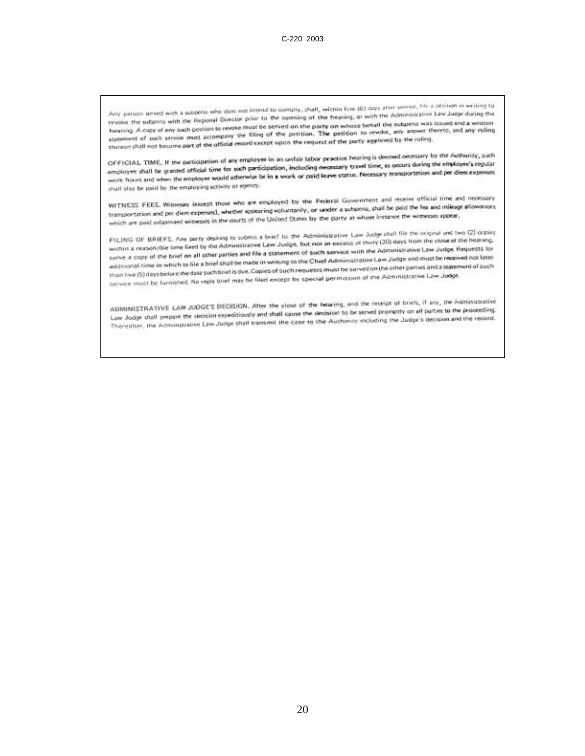Any person seved with a subpensive does not intend to comply, shall, within five (6) days after sexual, like a polition in writing to Any person seved with a subpena who does not intend to comply, shall, within five (8) days after person, the Easter for danger the<br>revoke the subpena with the Regional Director prior to the opening of the heaving, or with revoke the subpans with the Regional Director prior to the opening of the heaven, or with the subpens was issued and a written<br>bauning. A copy of any such problem to revoke must be served on the party on whose behalf the s bearing. A capy of any such gestion to revoke must be served on the party on whose behalf the subpensives was usually without the bearing. A capy of any culing<br>statement of such service must accompany the filing of the pat statement of such strvice must accompany the filing of the protion. The petition to remine, the reling.<br>thereorishall not become part of the official record except upon the request of the party aggivend by the ruling.

OFFICIAL TIME, If the participation of any employee in an unfair labor practice hearing is deemed necessary by the Authority, such<br>CIFFICIAL TIME, If the participation of any employee in an unfair body properties travel ti OFFICIAL TIME, If the participation of any employee in an unfair labor practice maning is connected from the employee's regular<br>employee shall be granted official time for such participation, including necessary travel tim employee shall be granted official time for such participation, including neonstary travel time, as occurs using and per diem expenses<br>work hours and when the employee would otherwise be in a work or paid leave status. Nec shall also be paid by the employing activity or egency.

WITNESS FEES, Witnesses (except those who are employed by the Federal Government and receive official time and necessary WITNESS FEES, Witnesse (except those who are employed by the Federal Government and be paid the fee and mileage atlowances.<br>transportation and per diem expensed, whether appearing voluntarily, or used as usbena, shall be p transportation and per diem expensed, whether appearing voluntarity, or unser a subscribe, since the party of<br>which are paid subpensed witnesses in the courts of the United States by the party at whose instance the witness

FILING OF BRIEFS. Any party desking to submit a brief to the Administrative Law Judge shall file the original and two (2) copies.<br>FILING OF BRIEFS. Any party desking to submit a brac further had not an excess of theiry (30 FILING OF BRIEFS. Any party desking to submit a brief to the Administrative Law avon study strom the close of the heaving.<br>within a reasonable time fixed by the Administrative Law Judge, but not an exclose of their (JU) da weithin a reasonable time fixed by the Administrative Law Judge, but not in excloss of their low man the Law Judge. Requests for<br>Lerve a copy of the brief on all other parties and file a statement of such service with the Serve a copy of the brief on all other parties and file a statement of such service with the momentum and must be recoved not later<br>addicional time in which to file a brief shall be made in writing to the Chief Administrat additional time in which to file a brief shall be made in writing to the Chief Administrative Law and extreme artists and a statement of such<br>than five (5) days before the date such brief is due, Copies of such requests mu than live (5) days belong the date such brief is due, Copies of Such requests must be accounted the Administrative Law Judge.<br>Service must be furnished. No reply brief may be filed except by special permission of the Admin

ADMINISTRATIVE LAW JUDGE'S DECISION. After the close of the bearing, and the receipt of briefs, if any, the Administrative ADMINISTRATIVE LAW JUDGE'S DECISION. After the close of the bearing, and the recours in the parties to the proceeding.<br>Law Judge shall prepare the decision expeditionaly and shall cause the decision to be served property o Law Judge shall perpare the decision expeditionsly and shall cause the decision to be served sequency of an paper second.<br>Thereafter, the Administrative Law Judge shall transmit the case to the Auchonity including the Judg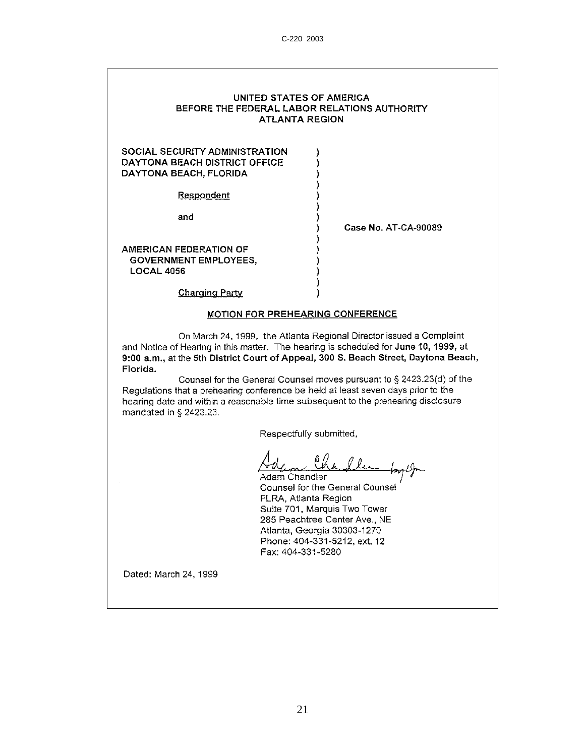#### UNITED STATES OF AMERICA BEFORE THE FEDERAL LABOR RELATIONS AUTHORITY **ATLANTA REGION**

 $\lambda$ 

)

J.

### **SOCIAL SECURITY ADMINISTRATION** DAYTONA BEACH DISTRICT OFFICE DAYTONA BEACH, FLORIDA

Respondent

and

Case No. AT-CA-90089

AMERICAN FEDERATION OF **GOVERNMENT EMPLOYEES, LOCAL 4056** 

**Charging Party** 

#### **MOTION FOR PREHEARING CONFERENCE**

)

On March 24, 1999, the Atlanta Regional Director issued a Complaint and Notice of Hearing in this matter. The hearing is scheduled for June 10, 1999, at 9:00 a.m., at the 5th District Court of Appeal, 300 S. Beach Street, Daytona Beach, Florida.

Counsel for the General Counsel moves pursuant to § 2423.23(d) of the Regulations that a prehearing conference be held at least seven days prior to the hearing date and within a reasonable time subsequent to the prehearing disclosure mandated in § 2423.23.

Respectfully submitted,

Adam Chandler Counsel for the General Counsel FLRA, Atlanta Region Suite 701, Marquis Two Tower 285 Peachtree Center Ave., NE Atlanta, Georgia 30303-1270 Phone: 404-331-5212, ext. 12 Fax: 404-331-5280

Dated: March 24, 1999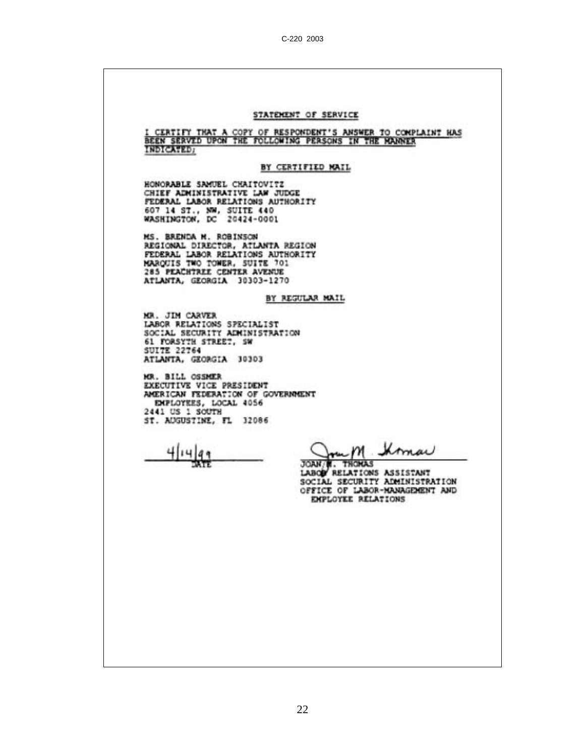# STATEMENT OF SERVICE I CERTIFY THAT A COPY OF RESPONDENT'S ANSWER TO COMPLAINT HAS BEEN SERVED UPON THE FOLLOWING PERSONS IN THE HANNER **INDICATED:** BY CERTIFIED MAIL HONORABLE SAMUEL CHAITOVITZ CHIEF ADMINISTRATIVE LAW JUDGE FEDERAL LABOR RELATIONS AUTHORITY 607 14 ST., NW, SUITE 440<br>WASHINGTON, DC 20424-0001 MS. BRENDA M. ROBINSON REGIONAL DIRECTOR, ATLANTA REGION PEDERAL LABOR RELATIONS AUTHORITY<br>MARQUIS TWO TOWER, SUITE 701<br>285 PEACHTREE CENTER AVENUE ATLANTA, GEORGIA 30303-1270 BY REGULAR MAIL MR. JIM CARVER LABOR RELATIONS SPECIALIST<br>SOCIAL SECURITY ADMINISTRATION 61 FORSYTH STREET, SW **SUITE 22764** ATLANTA, GEORGIA 30303 MR. BILL OSSMER EXECUTIVE VICE PRESIDENT AMERICAN FEDERATION OF GOVERNMENT EMPLOYEES, LOCAL 4056 2441 US 1 SOUTH ST. AUGUSTINE, FL 32086  $mM$ Ihman 414 JOAN N. THOMAS<br>LABOR RELATIONS ASSISTANT ЖTЕ SOCIAL SECURITY ADMINISTRATION OFFICE OF LABOR-MANAGEMENT AND **EMPLOYEE RELATIONS**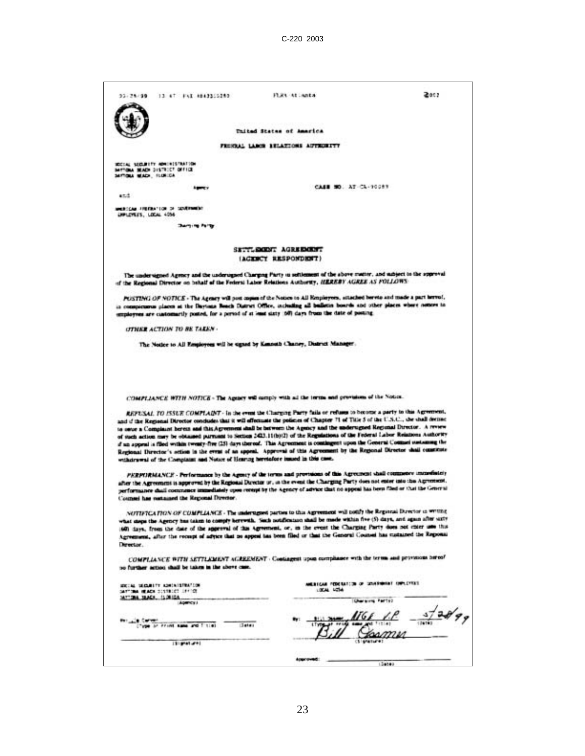| 22.76/99                                                          |                                                     |                                                                                                                                                                                                                                                                |                |
|-------------------------------------------------------------------|-----------------------------------------------------|----------------------------------------------------------------------------------------------------------------------------------------------------------------------------------------------------------------------------------------------------------------|----------------|
|                                                                   | 13 47 FLI 4943315283                                | FLEL At Anta                                                                                                                                                                                                                                                   | 2012           |
|                                                                   |                                                     |                                                                                                                                                                                                                                                                |                |
|                                                                   |                                                     |                                                                                                                                                                                                                                                                |                |
|                                                                   |                                                     | Thited States of America                                                                                                                                                                                                                                       |                |
|                                                                   |                                                     | FRIENAL LARGE STLATIONS AUTHORITY                                                                                                                                                                                                                              |                |
|                                                                   |                                                     |                                                                                                                                                                                                                                                                |                |
| ROCCAL SECURITY ADMINISTRATION<br>SATIONA MUNDS DISTRICT OFFICE   |                                                     |                                                                                                                                                                                                                                                                |                |
| SAFTIQUA MEADS, FLORIDA                                           |                                                     |                                                                                                                                                                                                                                                                |                |
|                                                                   | <b>Agency</b>                                       | CASE NO. AT CA-10083                                                                                                                                                                                                                                           |                |
| 42.2                                                              |                                                     |                                                                                                                                                                                                                                                                |                |
| MARKETING FREEDLY FOR DE DEVERMING                                |                                                     |                                                                                                                                                                                                                                                                |                |
| UNIVERSITY, LEEAL 4056                                            |                                                     |                                                                                                                                                                                                                                                                |                |
|                                                                   | <b>Darying Party</b>                                |                                                                                                                                                                                                                                                                |                |
|                                                                   |                                                     |                                                                                                                                                                                                                                                                |                |
|                                                                   |                                                     | SETTLEMENT AGREEMENT                                                                                                                                                                                                                                           |                |
|                                                                   |                                                     | (AGENCY RESPONDENT)                                                                                                                                                                                                                                            |                |
|                                                                   |                                                     | The undersigned Agency and the undersigned Charging Party in settlement of the above matter, and subject to the approval                                                                                                                                       |                |
|                                                                   |                                                     | of the Regional Director on behalf of the Federal Labor Relations Authority, HEREBY AGREE AS FOLLOWS:                                                                                                                                                          |                |
|                                                                   |                                                     |                                                                                                                                                                                                                                                                |                |
|                                                                   |                                                     | POSTING OF NOTICE - The Agency will post copies of the Notice to All Respleyers, situated bereto and made a part terror!,<br>in compicuous places at the Daytons Reach Dutret Office, including all bulletin boards and other places where notices to          |                |
|                                                                   |                                                     | employmes are cantomarily posted, for a period of at least sixty 150) days from the date of posting.                                                                                                                                                           |                |
| <b><i>OTNER ACTION TO BE TAKEN -</i></b>                          |                                                     |                                                                                                                                                                                                                                                                |                |
|                                                                   |                                                     |                                                                                                                                                                                                                                                                |                |
|                                                                   |                                                     | The Notice to All Employees will be signed by Kanneth Chaney, District Manager.                                                                                                                                                                                |                |
|                                                                   |                                                     | COMPLIANCE WITH NOTICE - The Agency will camply with all the terms and provisions of the Notice.                                                                                                                                                               |                |
|                                                                   |                                                     |                                                                                                                                                                                                                                                                |                |
|                                                                   |                                                     |                                                                                                                                                                                                                                                                |                |
|                                                                   |                                                     | REPUSAL TO ISSUE COMPLAINT - In the event the Charging Party fails or refuses to become a party to this Agreement,<br>and if the Regional Director condudes that it will effectuate the policies of Chapter 71 of Title 5 of the U.S.C., the shall derived     |                |
|                                                                   |                                                     | to once a Complaint bereix and this Agreement shall be between the Agency and the undersigned Regional Director. A review                                                                                                                                      |                |
|                                                                   |                                                     | of such action may be obtained purmant to Section 2423.11(b)(2) of the Regulations of the Federal Labor Relations Authority                                                                                                                                    |                |
|                                                                   |                                                     | if an appeal is filed within twenty-five (25) days thereof. This Agreement is contingent upon the General Contact sustaining the<br>Regional Director's ection in the event of an appeal. Approval of this Agreement by the Regional Director shall constitute |                |
|                                                                   |                                                     | withdrawni of the Complaint and Notice of Henring heretofore inneed in this case.                                                                                                                                                                              |                |
|                                                                   |                                                     | PERPURMANCE - Performance by the Agency of the terms and provisions of this Agreement shall commence immediately                                                                                                                                               |                |
|                                                                   |                                                     | after the Agreement is approved by the Regional Director or, in the event the Charging Party does not enter into the Agreement.                                                                                                                                |                |
|                                                                   |                                                     | performance chall commence immediately upon recept by the Agency of advace that no appeal has been filed or that the General                                                                                                                                   |                |
| Counsel has natained the Regional Director.                       |                                                     |                                                                                                                                                                                                                                                                |                |
|                                                                   |                                                     | NOTIFICATION OF COMPLIANCE - The undersigned parties to this Agreement will notify the Regional Director in writing                                                                                                                                            |                |
|                                                                   |                                                     | what steps the Agency has taken to comply herewith. Such notification shall be made within five (5) days, and again after surre                                                                                                                                |                |
|                                                                   |                                                     | 600 days, from the date of the approval of this Agreement, or, in the event the Charging Party does not exter une this<br>Agreement, after the recupt of advice that no appeal has been filed or that the General Counsel has custained the Reponal            |                |
| Develor.                                                          |                                                     |                                                                                                                                                                                                                                                                |                |
|                                                                   |                                                     | COMPLIANCE WITH SETTLEMENT ACREEMENT - Contagent upon compliance with the terms and provincias bireof                                                                                                                                                          |                |
|                                                                   | so further action shall be taken in the above case. |                                                                                                                                                                                                                                                                |                |
|                                                                   |                                                     |                                                                                                                                                                                                                                                                |                |
| WEIGHT MICHAELTY ASHEKEEPING TOP<br>SATTING HEADS SIXTRACT LEFTER |                                                     | MERICAN FEDERATION OF SOUTHWEST CHRISTERS<br>LIKAL LOTAL                                                                                                                                                                                                       |                |
| SAYTOMA SEACH, 15:0010A                                           | AGENCY !!                                           | Character Party)                                                                                                                                                                                                                                               |                |
|                                                                   |                                                     |                                                                                                                                                                                                                                                                |                |
| <b>PET LAW RECOVERED</b>                                          |                                                     |                                                                                                                                                                                                                                                                | (2019)<br>7.41 |
| Chips or Frint same and I time                                    | <b>Setes</b>                                        |                                                                                                                                                                                                                                                                |                |
|                                                                   | <b>ISLAMATIONS</b>                                  |                                                                                                                                                                                                                                                                |                |
|                                                                   |                                                     | <b>Actor</b> OVE                                                                                                                                                                                                                                               |                |